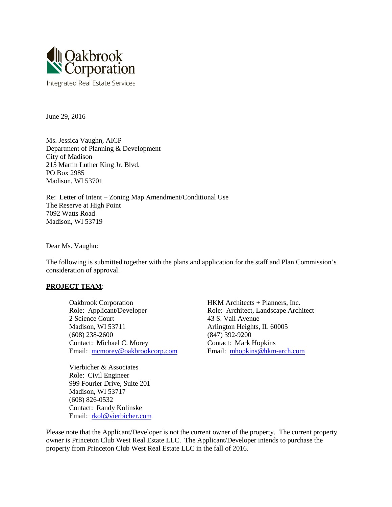

June 29, 2016

Ms. Jessica Vaughn, AICP Department of Planning & Development City of Madison 215 Martin Luther King Jr. Blvd. PO Box 2985 Madison, WI 53701

Re: Letter of Intent – Zoning Map Amendment/Conditional Use The Reserve at High Point 7092 Watts Road Madison, WI 53719

Dear Ms. Vaughn:

The following is submitted together with the plans and application for the staff and Plan Commission's consideration of approval.

#### **PROJECT TEAM**:

Oakbrook Corporation HKM Architects + Planners, Inc. Role: Applicant/Developer Role: Architect, Landscape Architect 2 Science Court 43 S. Vail Avenue Madison, WI 53711 Arlington Heights, IL 60005 (608) 238-2600 (847) 392-9200 Contact: Michael C. Morey Contact: Mark Hopkins Email: [mcmorey@oakbrookcorp.com](mailto:mcmorey@oakbrookcorp.com) Email: [mhopkins@hkm-arch.com](mailto:mhopkins@hkm-arch.com)

Vierbicher & Associates Role: Civil Engineer 999 Fourier Drive, Suite 201 Madison, WI 53717 (608) 826-0532 Contact: Randy Kolinske Email: [rkol@vierbicher.com](mailto:rkol@vierbicher.com)

Please note that the Applicant/Developer is not the current owner of the property. The current property owner is Princeton Club West Real Estate LLC. The Applicant/Developer intends to purchase the property from Princeton Club West Real Estate LLC in the fall of 2016.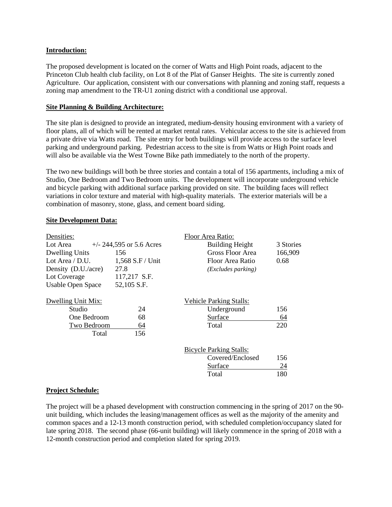#### **Introduction:**

The proposed development is located on the corner of Watts and High Point roads, adjacent to the Princeton Club health club facility, on Lot 8 of the Plat of Ganser Heights. The site is currently zoned Agriculture. Our application, consistent with our conversations with planning and zoning staff, requests a zoning map amendment to the TR-U1 zoning district with a conditional use approval.

#### **Site Planning & Building Architecture:**

The site plan is designed to provide an integrated, medium-density housing environment with a variety of floor plans, all of which will be rented at market rental rates. Vehicular access to the site is achieved from a private drive via Watts road. The site entry for both buildings will provide access to the surface level parking and underground parking. Pedestrian access to the site is from Watts or High Point roads and will also be available via the West Towne Bike path immediately to the north of the property.

The two new buildings will both be three stories and contain a total of 156 apartments, including a mix of Studio, One Bedroom and Two Bedroom units. The development will incorporate underground vehicle and bicycle parking with additional surface parking provided on site. The building faces will reflect variations in color texture and material with high-quality materials. The exterior materials will be a combination of masonry, stone, glass, and cement board siding.

#### **Site Development Data:**

| Densities:               |                            | Floor Area Ratio:              |           |
|--------------------------|----------------------------|--------------------------------|-----------|
| Lot Area                 | $+/- 244,595$ or 5.6 Acres | <b>Building Height</b>         | 3 Stories |
| <b>Dwelling Units</b>    | 156                        | Gross Floor Area               | 166,909   |
| Lot Area / D.U.          | 1,568 S.F / Unit           | Floor Area Ratio               | 0.68      |
| Density (D.U./acre)      | 27.8                       | ( <i>Excludes parking</i> )    |           |
| Lot Coverage             | 117,217 S.F.               |                                |           |
| <b>Usable Open Space</b> | 52,105 S.F.                |                                |           |
| Dwelling Unit Mix:       |                            | <b>Vehicle Parking Stalls:</b> |           |
| Studio                   | 24                         | Underground                    | 156       |
| One Bedroom              | 68                         | Surface                        | 64        |
| Two Bedroom              | 64                         | Total                          | 220       |
| Total                    | 156                        |                                |           |
|                          |                            | <b>Bicycle Parking Stalls:</b> |           |
|                          |                            | Covered/Enclosed               | 156       |
|                          |                            | Surface                        | 24        |
|                          |                            | Total                          | 180       |

#### **Project Schedule:**

The project will be a phased development with construction commencing in the spring of 2017 on the 90 unit building, which includes the leasing/management offices as well as the majority of the amenity and common spaces and a 12-13 month construction period, with scheduled completion/occupancy slated for late spring 2018. The second phase (66-unit building) will likely commence in the spring of 2018 with a 12-month construction period and completion slated for spring 2019.